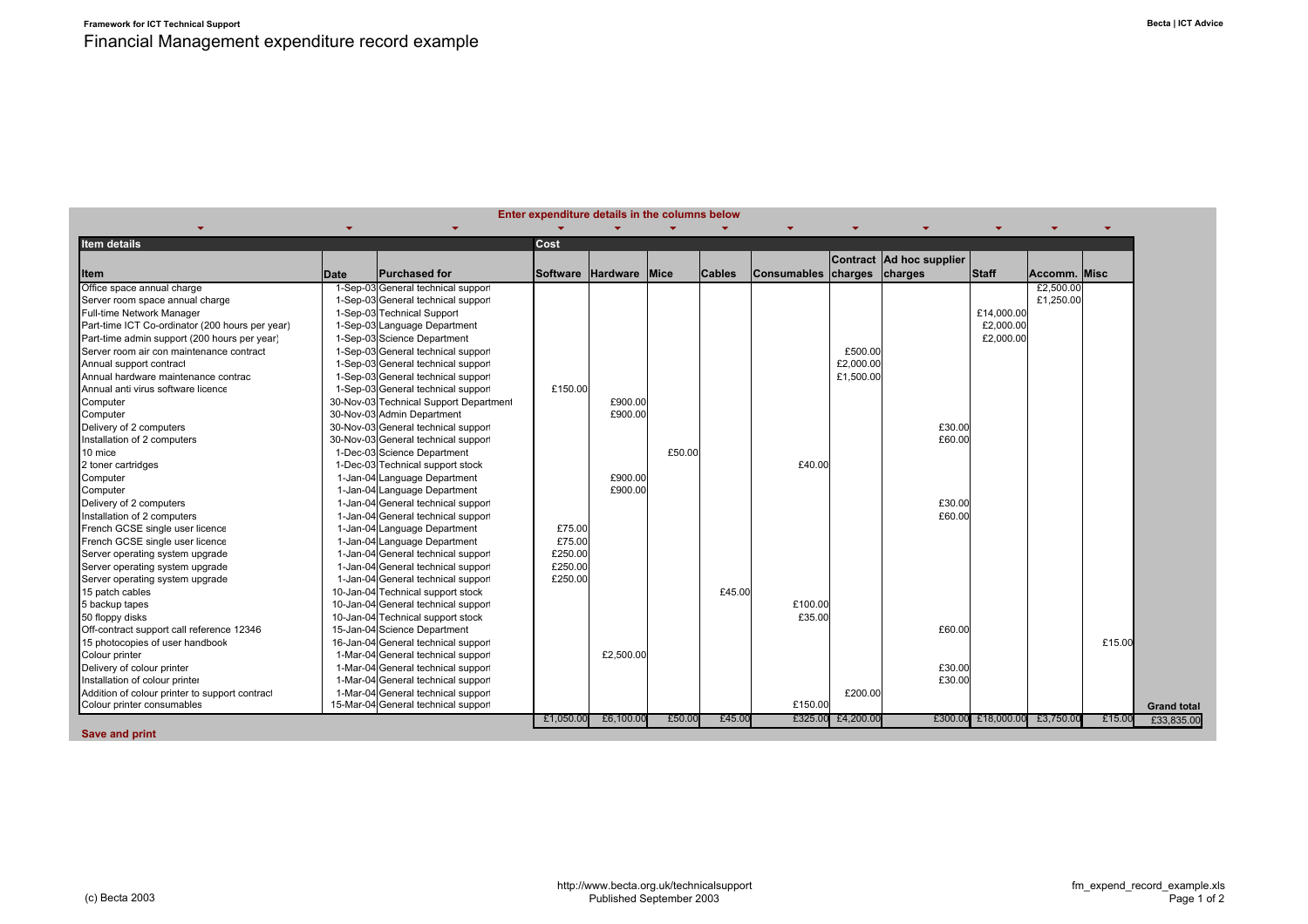|                                                 |      |                                        |           | Enter expenditure details in the columns below |        |               |                             |                   |                          |                              |              |        |                    |
|-------------------------------------------------|------|----------------------------------------|-----------|------------------------------------------------|--------|---------------|-----------------------------|-------------------|--------------------------|------------------------------|--------------|--------|--------------------|
|                                                 |      |                                        |           |                                                |        |               |                             |                   |                          |                              |              |        |                    |
| <b>Item details</b>                             |      |                                        | Cost      |                                                |        |               |                             |                   |                          |                              |              |        |                    |
|                                                 |      |                                        |           |                                                |        |               |                             |                   | Contract Ad hoc supplier |                              |              |        |                    |
| <b>Item</b>                                     | Date | <b>Purchased for</b>                   |           | Software Hardware Mice                         |        | <b>Cables</b> | Consumables charges charges |                   |                          | Staff                        | Accomm. Misc |        |                    |
| Office space annual charge                      |      | 1-Sep-03 General technical support     |           |                                                |        |               |                             |                   |                          |                              | £2,500.00    |        |                    |
| Server room space annual charge                 |      | 1-Sep-03 General technical support     |           |                                                |        |               |                             |                   |                          |                              | £1,250.00    |        |                    |
| Full-time Network Manager                       |      | 1-Sep-03 Technical Support             |           |                                                |        |               |                             |                   |                          | £14,000.00                   |              |        |                    |
| Part-time ICT Co-ordinator (200 hours per year) |      | 1-Sep-03 Language Department           |           |                                                |        |               |                             |                   |                          | £2,000.00                    |              |        |                    |
| Part-time admin support (200 hours per year)    |      | 1-Sep-03 Science Department            |           |                                                |        |               |                             |                   |                          | £2,000.00                    |              |        |                    |
| Server room air con maintenance contract        |      | 1-Sep-03 General technical support     |           |                                                |        |               |                             | £500.00           |                          |                              |              |        |                    |
| Annual support contract                         |      | 1-Sep-03 General technical support     |           |                                                |        |               |                             | £2,000.00         |                          |                              |              |        |                    |
| Annual hardware maintenance contrac             |      | 1-Sep-03 General technical support     |           |                                                |        |               |                             | £1,500.00         |                          |                              |              |        |                    |
| Annual anti virus software licence              |      | 1-Sep-03 General technical support     | £150.00   |                                                |        |               |                             |                   |                          |                              |              |        |                    |
| Computer                                        |      | 30-Nov-03 Technical Support Department |           | £900.00                                        |        |               |                             |                   |                          |                              |              |        |                    |
| Computer                                        |      | 30-Nov-03 Admin Department             |           | £900.00                                        |        |               |                             |                   |                          |                              |              |        |                    |
| Delivery of 2 computers                         |      | 30-Nov-03 General technical support    |           |                                                |        |               |                             |                   | £30.00                   |                              |              |        |                    |
| Installation of 2 computers                     |      | 30-Nov-03 General technical support    |           |                                                |        |               |                             |                   | £60.00                   |                              |              |        |                    |
| 10 mice                                         |      | 1-Dec-03 Science Department            |           |                                                | £50.00 |               |                             |                   |                          |                              |              |        |                    |
| 2 toner cartridges                              |      | 1-Dec-03 Technical support stock       |           |                                                |        |               | £40.00                      |                   |                          |                              |              |        |                    |
| Computer                                        |      | 1-Jan-04 Language Department           |           | £900.00                                        |        |               |                             |                   |                          |                              |              |        |                    |
| Computer                                        |      | 1-Jan-04 Language Department           |           | £900.00                                        |        |               |                             |                   |                          |                              |              |        |                    |
| Delivery of 2 computers                         |      | 1-Jan-04 General technical support     |           |                                                |        |               |                             |                   | £30.00                   |                              |              |        |                    |
| Installation of 2 computers                     |      | 1-Jan-04 General technical support     |           |                                                |        |               |                             |                   | £60.00                   |                              |              |        |                    |
| French GCSE single user licence                 |      | 1-Jan-04 Language Department           | £75.00    |                                                |        |               |                             |                   |                          |                              |              |        |                    |
| French GCSE single user licence                 |      | 1-Jan-04 Language Department           | £75.00    |                                                |        |               |                             |                   |                          |                              |              |        |                    |
| Server operating system upgrade                 |      | 1-Jan-04 General technical support     | £250.00   |                                                |        |               |                             |                   |                          |                              |              |        |                    |
| Server operating system upgrade                 |      | 1-Jan-04 General technical support     | £250.00   |                                                |        |               |                             |                   |                          |                              |              |        |                    |
| Server operating system upgrade                 |      | 1-Jan-04 General technical support     | £250.00   |                                                |        |               |                             |                   |                          |                              |              |        |                    |
| 15 patch cables                                 |      | 10-Jan-04 Technical support stock      |           |                                                |        | £45.00        |                             |                   |                          |                              |              |        |                    |
| 5 backup tapes                                  |      | 10-Jan-04 General technical support    |           |                                                |        |               | £100.00                     |                   |                          |                              |              |        |                    |
| 50 floppy disks                                 |      | 10-Jan-04 Technical support stock      |           |                                                |        |               | £35.00                      |                   |                          |                              |              |        |                    |
| Off-contract support call reference 12346       |      | 15-Jan-04 Science Department           |           |                                                |        |               |                             |                   | £60.00                   |                              |              |        |                    |
| 15 photocopies of user handbook                 |      | 16-Jan-04 General technical support    |           |                                                |        |               |                             |                   |                          |                              |              | £15.00 |                    |
| Colour printer                                  |      | 1-Mar-04 General technical support     |           | £2,500.00                                      |        |               |                             |                   |                          |                              |              |        |                    |
| Delivery of colour printer                      |      | 1-Mar-04 General technical support     |           |                                                |        |               |                             |                   | £30.00                   |                              |              |        |                    |
| Installation of colour printer                  |      | 1-Mar-04 General technical support     |           |                                                |        |               |                             |                   | £30.00                   |                              |              |        |                    |
| Addition of colour printer to support contract  |      | 1-Mar-04 General technical support     |           |                                                |        |               |                             | £200.00           |                          |                              |              |        |                    |
| Colour printer consumables                      |      | 15-Mar-04 General technical support    |           |                                                |        |               | £150.00                     |                   |                          |                              |              |        | <b>Grand total</b> |
|                                                 |      |                                        | £1,050.00 | £6,100.00                                      | £50.00 | £45.00        |                             | £325.00 £4,200.00 |                          | £300.00 £18,000.00 £3,750.00 |              | £15.00 | £33,835.00         |

**Save and print**